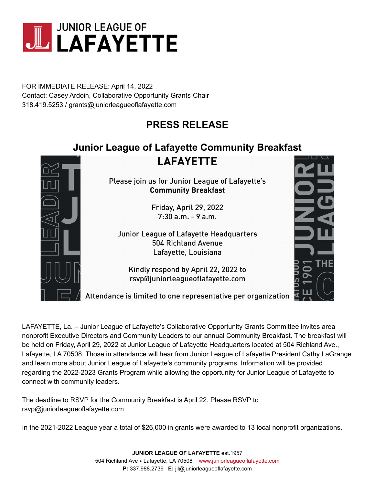

FOR IMMEDIATE RELEASE: April 14, 2022 Contact: Casey Ardoin, Collaborative Opportunity Grants Chair 318.419.5253 / grants@juniorleagueoflafayette.com

## **PRESS RELEASE**

## **Junior League of Lafayette Community Breakfast**

**LAFAYETTE** 



Please join us for Junior League of Lafayette's **Community Breakfast** 

> Friday, April 29, 2022  $7:30$  a.m. - 9 a.m.

Junior League of Lafayette Headquarters 504 Richland Avenue Lafayette, Louisiana

Kindly respond by April 22, 2022 to rsvp@juniorleagueoflafayette.com



LAFAYETTE, La. – Junior League of Lafayette's Collaborative Opportunity Grants Committee invites area nonprofit Executive Directors and Community Leaders to our annual Community Breakfast. The breakfast will be held on Friday, April 29, 2022 at Junior League of Lafayette Headquarters located at 504 Richland Ave., Lafayette, LA 70508. Those in attendance will hear from Junior League of Lafayette President Cathy LaGrange and learn more about Junior League of Lafayette's community programs. Information will be provided regarding the 2022-2023 Grants Program while allowing the opportunity for Junior League of Lafayette to connect with community leaders.

The deadline to RSVP for the Community Breakfast is April 22. Please RSVP to rsvp@juniorleagueoflafayette.com

In the 2021-2022 League year a total of \$26,000 in grants were awarded to 13 local nonprofit organizations.